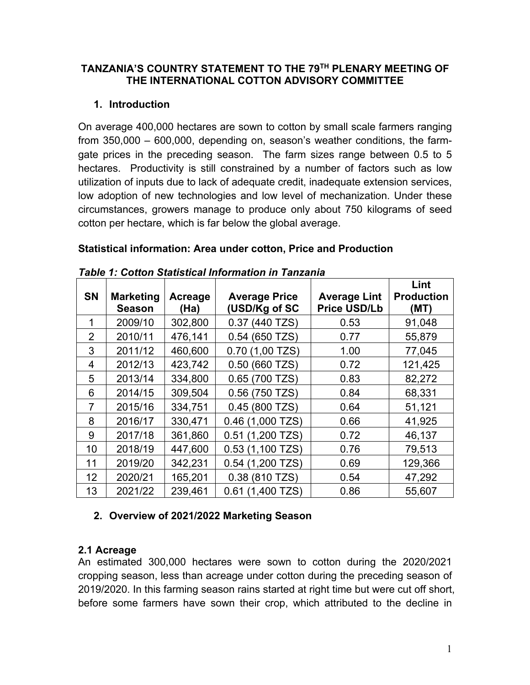#### **TANZANIA'S COUNTRY STATEMENT TO THE 79TH PLENARY MEETING OF THE INTERNATIONAL COTTON ADVISORY COMMITTEE**

# **1. Introduction**

On average 400,000 hectares are sown to cotton by small scale farmers ranging from 350,000 – 600,000, depending on, season's weather conditions, the farmgate prices in the preceding season. The farm sizes range between 0.5 to 5 hectares. Productivity is still constrained by a number of factors such as low utilization of inputs due to lack of adequate credit, inadequate extension services, low adoption of new technologies and low level of mechanization. Under these circumstances, growers manage to produce only about 750 kilograms of seed cotton per hectare, which is far below the global average.

| <b>SN</b>       | <b>Marketing</b><br><b>Season</b> | Acreage<br>(Ha) | <b>Average Price</b><br>(USD/Kg of SC | <b>Average Lint</b><br><b>Price USD/Lb</b> | Lint<br><b>Production</b><br>(MT) |
|-----------------|-----------------------------------|-----------------|---------------------------------------|--------------------------------------------|-----------------------------------|
| 1               | 2009/10                           | 302,800         | 0.37 (440 TZS)                        | 0.53                                       | 91,048                            |
| 2               | 2010/11                           | 476,141         | $0.54$ (650 TZS)                      | 0.77                                       | 55,879                            |
| 3               | 2011/12                           | 460,600         | $0.70$ (1,00 TZS)                     | 1.00                                       | 77,045                            |
| 4               | 2012/13                           | 423,742         | $0.50$ (660 TZS)                      | 0.72                                       | 121,425                           |
| 5               | 2013/14                           | 334,800         | $0.65(700$ TZS)                       | 0.83                                       | 82,272                            |
| 6               | 2014/15                           | 309,504         | 0.56 (750 TZS)                        | 0.84                                       | 68,331                            |
| 7               | 2015/16                           | 334,751         | $0.45(800)$ TZS)                      | 0.64                                       | 51,121                            |
| 8               | 2016/17                           | 330,471         | 0.46 (1,000 TZS)                      | 0.66                                       | 41,925                            |
| 9               | 2017/18                           | 361,860         | 0.51 (1,200 TZS)                      | 0.72                                       | 46,137                            |
| 10              | 2018/19                           | 447,600         | $0.53(1,100$ TZS)                     | 0.76                                       | 79,513                            |
| 11              | 2019/20                           | 342,231         | $0.54$ (1,200 TZS)                    | 0.69                                       | 129,366                           |
| 12 <sub>2</sub> | 2020/21                           | 165,201         | 0.38 (810 TZS)                        | 0.54                                       | 47,292                            |
| 13              | 2021/22                           | 239,461         | $(1,400$ TZS)<br>0.61                 | 0.86                                       | 55,607                            |

#### **Statistical information: Area under cotton, Price and Production**

*Table 1: Cotton Statistical Information in Tanzania*

# **2. Overview of 2021/2022 Marketing Season**

# **2.1 Acreage**

An estimated 300,000 hectares were sown to cotton during the 2020/2021 cropping season, less than acreage under cotton during the preceding season of 2019/2020. In this farming season rains started at right time but were cut off short, before some farmers have sown their crop, which attributed to the decline in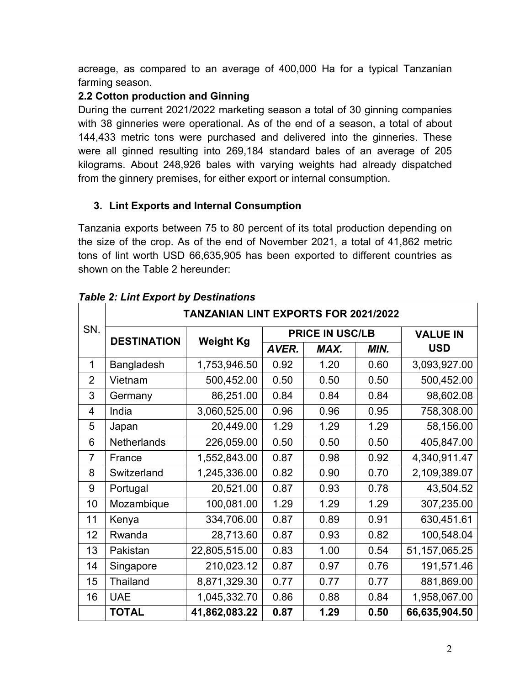acreage, as compared to an average of 400,000 Ha for a typical Tanzanian farming season.

## **2.2 Cotton production and Ginning**

During the current 2021/2022 marketing season a total of 30 ginning companies with 38 ginneries were operational. As of the end of a season, a total of about 144,433 metric tons were purchased and delivered into the ginneries. These were all ginned resulting into 269,184 standard bales of an average of 205 kilograms. About 248,926 bales with varying weights had already dispatched from the ginnery premises, for either export or internal consumption.

# **3. Lint Exports and Internal Consumption**

Tanzania exports between 75 to 80 percent of its total production depending on the size of the crop. As of the end of November 2021, a total of 41,862 metric tons of lint worth USD 66,635,905 has been exported to different countries as shown on the Table 2 hereunder:

|                | <b>TANZANIAN LINT EXPORTS FOR 2021/2022</b> |                  |                        |      |      |                  |  |  |
|----------------|---------------------------------------------|------------------|------------------------|------|------|------------------|--|--|
| SN.            | <b>DESTINATION</b>                          |                  | <b>PRICE IN USC/LB</b> |      |      | <b>VALUE IN</b>  |  |  |
|                |                                             | <b>Weight Kg</b> | AVER.                  | MAX. | MIN. | <b>USD</b>       |  |  |
| 1              | Bangladesh                                  | 1,753,946.50     | 0.92                   | 1.20 | 0.60 | 3,093,927.00     |  |  |
| 2              | Vietnam                                     | 500,452.00       | 0.50                   | 0.50 | 0.50 | 500,452.00       |  |  |
| 3              | Germany                                     | 86,251.00        | 0.84                   | 0.84 | 0.84 | 98,602.08        |  |  |
| 4              | India                                       | 3,060,525.00     | 0.96                   | 0.96 | 0.95 | 758,308.00       |  |  |
| 5              | Japan                                       | 20,449.00        | 1.29                   | 1.29 | 1.29 | 58,156.00        |  |  |
| 6              | Netherlands                                 | 226,059.00       | 0.50                   | 0.50 | 0.50 | 405,847.00       |  |  |
| $\overline{7}$ | France                                      | 1,552,843.00     | 0.87                   | 0.98 | 0.92 | 4,340,911.47     |  |  |
| 8              | Switzerland                                 | 1,245,336.00     | 0.82                   | 0.90 | 0.70 | 2,109,389.07     |  |  |
| 9              | Portugal                                    | 20,521.00        | 0.87                   | 0.93 | 0.78 | 43,504.52        |  |  |
| 10             | Mozambique                                  | 100,081.00       | 1.29                   | 1.29 | 1.29 | 307,235.00       |  |  |
| 11             | Kenya                                       | 334,706.00       | 0.87                   | 0.89 | 0.91 | 630,451.61       |  |  |
| 12             | Rwanda                                      | 28,713.60        | 0.87                   | 0.93 | 0.82 | 100,548.04       |  |  |
| 13             | Pakistan                                    | 22,805,515.00    | 0.83                   | 1.00 | 0.54 | 51, 157, 065. 25 |  |  |
| 14             | Singapore                                   | 210,023.12       | 0.87                   | 0.97 | 0.76 | 191,571.46       |  |  |
| 15             | Thailand                                    | 8,871,329.30     | 0.77                   | 0.77 | 0.77 | 881,869.00       |  |  |
| 16             | <b>UAE</b>                                  | 1,045,332.70     | 0.86                   | 0.88 | 0.84 | 1,958,067.00     |  |  |
|                | <b>TOTAL</b>                                | 41,862,083.22    | 0.87                   | 1.29 | 0.50 | 66,635,904.50    |  |  |

## *Table 2: Lint Export by Destinations*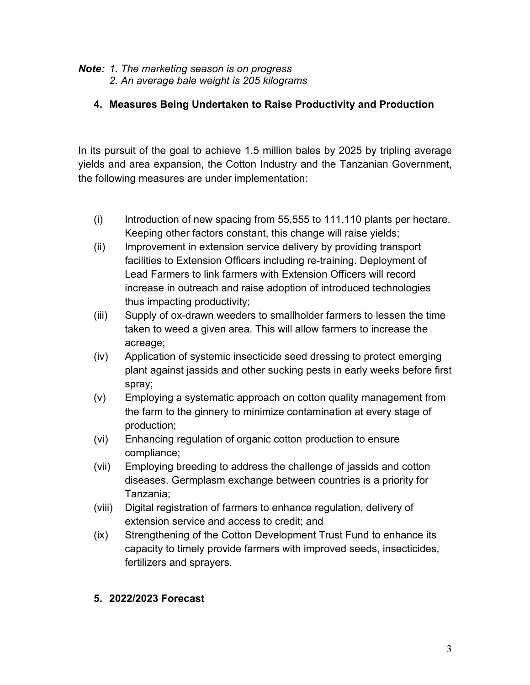#### *Note: 1. The marketing season is on progress 2. An average bale weight is 205 kilograms*

## **4. Measures Being Undertaken to Raise Productivity and Production**

In its pursuit of the goal to achieve 1.5 million bales by 2025 by tripling average yields and area expansion, the Cotton Industry and the Tanzanian Government, the following measures are under implementation:

- $(i)$  Introduction of new spacing from 55,555 to 111,110 plants per hectare. Keeping other factors constant, this change will raise yields;
- (ii) Improvement in extension service delivery by providing transport facilities to Extension Officers including re-training. Deployment of Lead Farmers to link farmers with Extension Officers will record increase in outreach and raise adoption of introduced technologies thus impacting productivity;
- (iii) Supply of ox-drawn weeders to smallholder farmers to lessen the time taken to weed a given area. This will allow farmers to increase the acreage;
- (iv) Application of systemic insecticide seed dressing to protect emerging plant against jassids and other sucking pests in early weeks before first spray;
- (v) Employing a systematic approach on cotton quality management from the farm to the ginnery to minimize contamination at every stage of production;
- (vi) Enhancing regulation of organic cotton production to ensure compliance;
- (vii) Employing breeding to address the challenge of jassids and cotton diseases. Germplasm exchange between countries is a priority for Tanzania;
- (viii) Digital registration of farmers to enhance regulation, delivery of extension service and access to credit; and
- (ix) Strengthening of the Cotton Development Trust Fund to enhance its capacity to timely provide farmers with improved seeds, insecticides, fertilizers and sprayers.

#### **5. 2022/2023 Forecast**